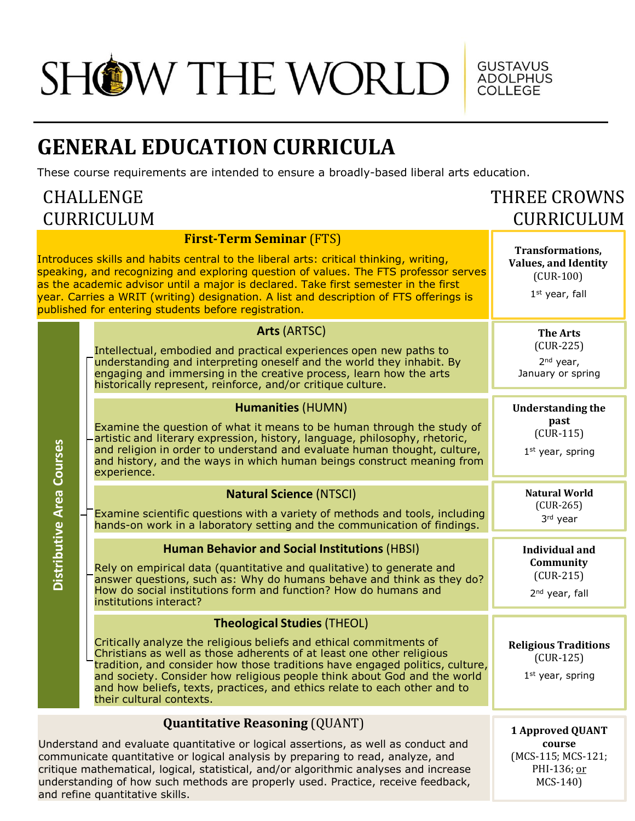## SHOW THE WORLD

## **GENERAL EDUCATION CURRICULA**

These course requirements are intended to ensure a broadly-based liberal arts education.

## CHALLENGE CURRICULUM

and refine quantitative skills.

## THREE CROWNS CURRICULUM

GUSTAVUS<br>ADOLPHUS<br>COLLEGE

|                           | <b>First-Term Seminar (FTS)</b><br>Introduces skills and habits central to the liberal arts: critical thinking, writing,<br>speaking, and recognizing and exploring question of values. The FTS professor serves<br>as the academic advisor until a major is declared. Take first semester in the first<br>year. Carries a WRIT (writing) designation. A list and description of FTS offerings is<br>published for entering students before registration. | <b>Transformations,</b><br><b>Values, and Identity</b><br>$(CUR-100)$<br>$1st$ year, fall |
|---------------------------|-----------------------------------------------------------------------------------------------------------------------------------------------------------------------------------------------------------------------------------------------------------------------------------------------------------------------------------------------------------------------------------------------------------------------------------------------------------|-------------------------------------------------------------------------------------------|
|                           | Arts (ARTSC)<br>Intellectual, embodied and practical experiences open new paths to<br>understanding and interpreting oneself and the world they inhabit. By<br>engaging and immersing in the creative process, learn how the arts<br>historically represent, reinforce, and/or critique culture.                                                                                                                                                          | <b>The Arts</b><br>$(CUR-225)$<br>$2nd$ year,<br>January or spring                        |
|                           | <b>Humanities (HUMN)</b><br>Examine the question of what it means to be human through the study of<br>artistic and literary expression, history, language, philosophy, rhetoric,<br>and religion in order to understand and evaluate human thought, culture,<br>and history, and the ways in which human beings construct meaning from<br>experience.                                                                                                     | <b>Understanding the</b><br>past<br>$(CUR-115)$<br>$1st$ year, spring                     |
|                           | <b>Natural Science (NTSCI)</b><br>Examine scientific questions with a variety of methods and tools, including<br>hands-on work in a laboratory setting and the communication of findings.                                                                                                                                                                                                                                                                 | <b>Natural World</b><br>$(CUR-265)$<br>3rd year                                           |
| Distributive Area Courses | <b>Human Behavior and Social Institutions (HBSI)</b><br>Rely on empirical data (quantitative and qualitative) to generate and<br>answer questions, such as: Why do humans behave and think as they do?<br>How do social institutions form and function? How do humans and<br>institutions interact?                                                                                                                                                       | <b>Individual and</b><br>Community<br>$(CUR-215)$<br>2 <sup>nd</sup> year, fall           |
|                           | <b>Theological Studies (THEOL)</b><br>Critically analyze the religious beliefs and ethical commitments of<br>Christians as well as those adherents of at least one other religious<br>tradition, and consider how those traditions have engaged politics, culture,<br>and society. Consider how religious people think about God and the world<br>and how beliefs, texts, practices, and ethics relate to each other and to<br>their cultural contexts.   | <b>Religious Traditions</b><br>$(CUR-125)$<br>$1st$ year, spring                          |
|                           | <b>Quantitative Reasoning (QUANT)</b><br>Understand and evaluate quantitative or logical assertions, as well as conduct and<br>communicate quantitative or logical analysis by preparing to read, analyze, and<br>critique mathematical, logical, statistical, and/or algorithmic analyses and increase<br>understanding of how such methods are properly used. Practice, receive feedback,                                                               | <b>1 Approved QUANT</b><br>course<br>(MCS-115; MCS-121;<br>PHI-136; or<br>MCS-140)        |